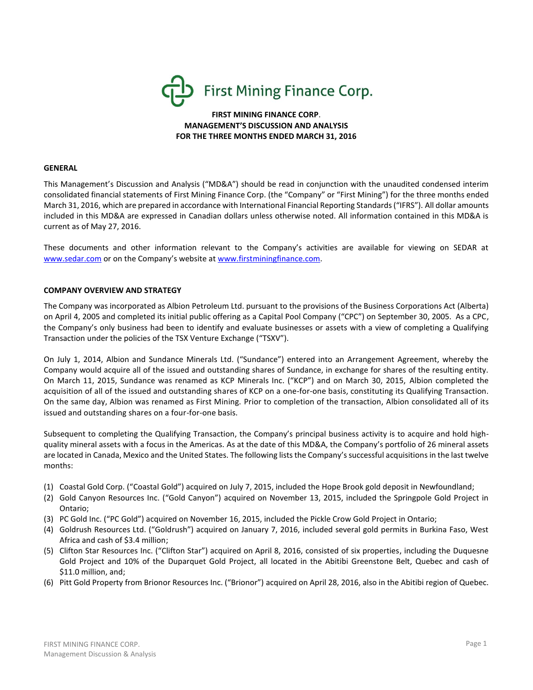

**FIRST MINING FINANCE CORP**. **MANAGEMENT'S DISCUSSION AND ANALYSIS FOR THE THREE MONTHS ENDED MARCH 31, 2016**

#### **GENERAL**

This Management's Discussion and Analysis ("MD&A") should be read in conjunction with the unaudited condensed interim consolidated financial statements of First Mining Finance Corp. (the "Company" or "First Mining") for the three months ended March 31, 2016, which are prepared in accordance with International Financial Reporting Standards ("IFRS"). All dollar amounts included in this MD&A are expressed in Canadian dollars unless otherwise noted. All information contained in this MD&A is current as of May 27, 2016.

These documents and other information relevant to the Company's activities are available for viewing on SEDAR at [www.sedar.com](http://www.sedar.com/) or on the Company's website at [www.firstminingfinance.com.](http://www.firstminingfinance.com/)

### **COMPANY OVERVIEW AND STRATEGY**

The Company was incorporated as Albion Petroleum Ltd. pursuant to the provisions of the Business Corporations Act (Alberta) on April 4, 2005 and completed its initial public offering as a Capital Pool Company ("CPC") on September 30, 2005. As a CPC, the Company's only business had been to identify and evaluate businesses or assets with a view of completing a Qualifying Transaction under the policies of the TSX Venture Exchange ("TSXV").

On July 1, 2014, Albion and Sundance Minerals Ltd. ("Sundance") entered into an Arrangement Agreement, whereby the Company would acquire all of the issued and outstanding shares of Sundance, in exchange for shares of the resulting entity. On March 11, 2015, Sundance was renamed as KCP Minerals Inc. ("KCP") and on March 30, 2015, Albion completed the acquisition of all of the issued and outstanding shares of KCP on a one-for-one basis, constituting its Qualifying Transaction. On the same day, Albion was renamed as First Mining. Prior to completion of the transaction, Albion consolidated all of its issued and outstanding shares on a four-for-one basis.

Subsequent to completing the Qualifying Transaction, the Company's principal business activity is to acquire and hold highquality mineral assets with a focus in the Americas. As at the date of this MD&A, the Company's portfolio of 26 mineral assets are located in Canada, Mexico and the United States. The following lists the Company's successful acquisitions in the last twelve months:

- (1) Coastal Gold Corp. ("Coastal Gold") acquired on July 7, 2015, included the Hope Brook gold deposit in Newfoundland;
- (2) Gold Canyon Resources Inc. ("Gold Canyon") acquired on November 13, 2015, included the Springpole Gold Project in Ontario;
- (3) PC Gold Inc. ("PC Gold") acquired on November 16, 2015, included the Pickle Crow Gold Project in Ontario;
- (4) Goldrush Resources Ltd. ("Goldrush") acquired on January 7, 2016, included several gold permits in Burkina Faso, West Africa and cash of \$3.4 million;
- (5) Clifton Star Resources Inc. ("Clifton Star") acquired on April 8, 2016, consisted of six properties, including the Duquesne Gold Project and 10% of the Duparquet Gold Project, all located in the Abitibi Greenstone Belt, Quebec and cash of \$11.0 million, and;
- (6) Pitt Gold Property from Brionor Resources Inc. ("Brionor") acquired on April 28, 2016, also in the Abitibi region of Quebec.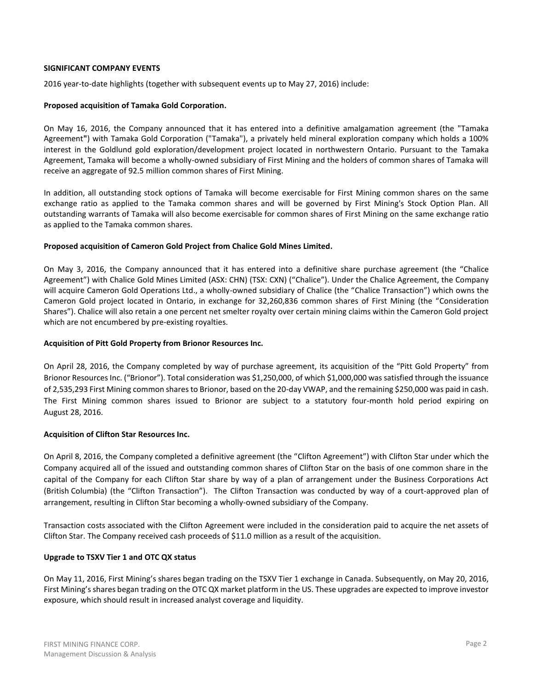### **SIGNIFICANT COMPANY EVENTS**

2016 year-to-date highlights (together with subsequent events up to May 27, 2016) include:

### **Proposed acquisition of Tamaka Gold Corporation.**

On May 16, 2016, the Company announced that it has entered into a definitive amalgamation agreement (the "Tamaka Agreement**"**) with Tamaka Gold Corporation ("Tamaka"), a privately held mineral exploration company which holds a 100% interest in the Goldlund gold exploration/development project located in northwestern Ontario. Pursuant to the Tamaka Agreement, Tamaka will become a wholly-owned subsidiary of First Mining and the holders of common shares of Tamaka will receive an aggregate of 92.5 million common shares of First Mining.

In addition, all outstanding stock options of Tamaka will become exercisable for First Mining common shares on the same exchange ratio as applied to the Tamaka common shares and will be governed by First Mining's Stock Option Plan. All outstanding warrants of Tamaka will also become exercisable for common shares of First Mining on the same exchange ratio as applied to the Tamaka common shares.

### **Proposed acquisition of Cameron Gold Project from Chalice Gold Mines Limited.**

On May 3, 2016, the Company announced that it has entered into a definitive share purchase agreement (the "Chalice Agreement") with Chalice Gold Mines Limited (ASX: CHN) (TSX: CXN) ("Chalice"). Under the Chalice Agreement, the Company will acquire Cameron Gold Operations Ltd., a wholly-owned subsidiary of Chalice (the "Chalice Transaction") which owns the Cameron Gold project located in Ontario, in exchange for 32,260,836 common shares of First Mining (the "Consideration Shares"). Chalice will also retain a one percent net smelter royalty over certain mining claims within the Cameron Gold project which are not encumbered by pre-existing royalties.

# **Acquisition of Pitt Gold Property from Brionor Resources Inc.**

On April 28, 2016, the Company completed by way of purchase agreement, its acquisition of the "Pitt Gold Property" from Brionor Resources Inc. ("Brionor"). Total consideration was \$1,250,000, of which \$1,000,000 was satisfied through the issuance of 2,535,293 First Mining common shares to Brionor, based on the 20-day VWAP, and the remaining \$250,000 was paid in cash. The First Mining common shares issued to Brionor are subject to a statutory four-month hold period expiring on August 28, 2016.

# **Acquisition of Clifton Star Resources Inc.**

On April 8, 2016, the Company completed a definitive agreement (the "Clifton Agreement") with Clifton Star under which the Company acquired all of the issued and outstanding common shares of Clifton Star on the basis of one common share in the capital of the Company for each Clifton Star share by way of a plan of arrangement under the Business Corporations Act (British Columbia) (the "Clifton Transaction"). The Clifton Transaction was conducted by way of a court-approved plan of arrangement, resulting in Clifton Star becoming a wholly-owned subsidiary of the Company.

Transaction costs associated with the Clifton Agreement were included in the consideration paid to acquire the net assets of Clifton Star. The Company received cash proceeds of \$11.0 million as a result of the acquisition.

# **Upgrade to TSXV Tier 1 and OTC QX status**

On May 11, 2016, First Mining's shares began trading on the TSXV Tier 1 exchange in Canada. Subsequently, on May 20, 2016, First Mining's shares began trading on the OTC QX market platform in the US. These upgrades are expected to improve investor exposure, which should result in increased analyst coverage and liquidity.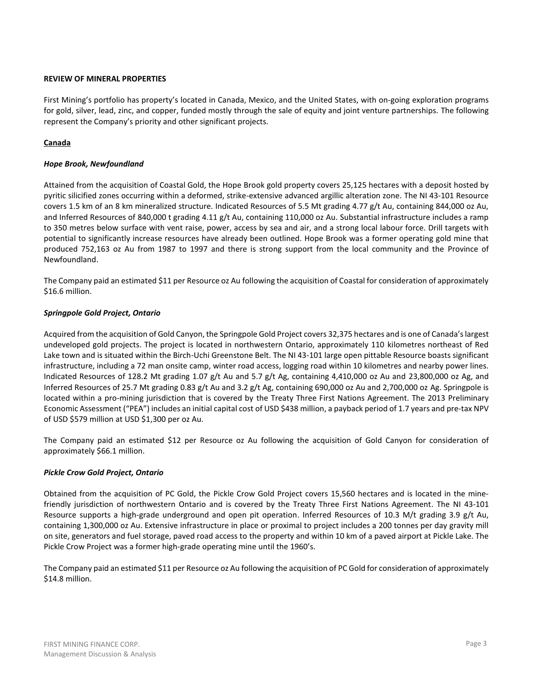# **REVIEW OF MINERAL PROPERTIES**

First Mining's portfolio has property's located in Canada, Mexico, and the United States, with on‐going exploration programs for gold, silver, lead, zinc, and copper, funded mostly through the sale of equity and joint venture partnerships. The following represent the Company's priority and other significant projects.

# **Canada**

# *Hope Brook, Newfoundland*

Attained from the acquisition of Coastal Gold, the Hope Brook gold property covers 25,125 hectares with a deposit hosted by pyritic silicified zones occurring within a deformed, strike-extensive advanced argillic alteration zone. The NI 43-101 Resource covers 1.5 km of an 8 km mineralized structure. Indicated Resources of 5.5 Mt grading 4.77 g/t Au, containing 844,000 oz Au, and Inferred Resources of 840,000 t grading 4.11 g/t Au, containing 110,000 oz Au. Substantial infrastructure includes a ramp to 350 metres below surface with vent raise, power, access by sea and air, and a strong local labour force. Drill targets with potential to significantly increase resources have already been outlined. Hope Brook was a former operating gold mine that produced 752,163 oz Au from 1987 to 1997 and there is strong support from the local community and the Province of Newfoundland.

The Company paid an estimated \$11 per Resource oz Au following the acquisition of Coastal for consideration of approximately \$16.6 million.

# *Springpole Gold Project, Ontario*

Acquired from the acquisition of Gold Canyon, the Springpole Gold Project covers 32,375 hectares and is one of Canada's largest undeveloped gold projects. The project is located in northwestern Ontario, approximately 110 kilometres northeast of Red Lake town and is situated within the Birch-Uchi Greenstone Belt. The NI 43-101 large open pittable Resource boasts significant infrastructure, including a 72 man onsite camp, winter road access, logging road within 10 kilometres and nearby power lines. Indicated Resources of 128.2 Mt grading 1.07 g/t Au and 5.7 g/t Ag, containing 4,410,000 oz Au and 23,800,000 oz Ag, and Inferred Resources of 25.7 Mt grading 0.83 g/t Au and 3.2 g/t Ag, containing 690,000 oz Au and 2,700,000 oz Ag. Springpole is located within a pro-mining jurisdiction that is covered by the Treaty Three First Nations Agreement. The 2013 Preliminary Economic Assessment ("PEA") includes an initial capital cost of USD \$438 million, a payback period of 1.7 years and pre-tax NPV of USD \$579 million at USD \$1,300 per oz Au.

The Company paid an estimated \$12 per Resource oz Au following the acquisition of Gold Canyon for consideration of approximately \$66.1 million.

# *Pickle Crow Gold Project, Ontario*

Obtained from the acquisition of PC Gold, the Pickle Crow Gold Project covers 15,560 hectares and is located in the minefriendly jurisdiction of northwestern Ontario and is covered by the Treaty Three First Nations Agreement. The NI 43-101 Resource supports a high-grade underground and open pit operation. Inferred Resources of 10.3 M/t grading 3.9 g/t Au, containing 1,300,000 oz Au. Extensive infrastructure in place or proximal to project includes a 200 tonnes per day gravity mill on site, generators and fuel storage, paved road access to the property and within 10 km of a paved airport at Pickle Lake. The Pickle Crow Project was a former high-grade operating mine until the 1960's.

The Company paid an estimated \$11 per Resource oz Au following the acquisition of PC Gold for consideration of approximately \$14.8 million.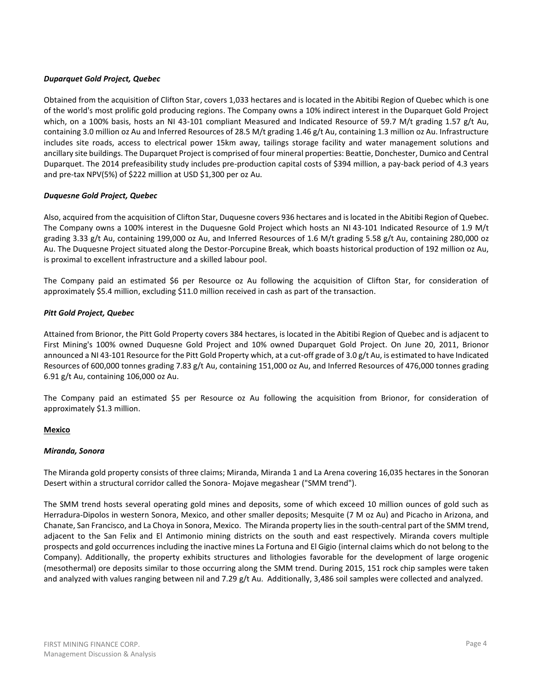# *Duparquet Gold Project, Quebec*

Obtained from the acquisition of Clifton Star, covers 1,033 hectares and is located in the Abitibi Region of Quebec which is one of the world's most prolific gold producing regions. The Company owns a 10% indirect interest in the Duparquet Gold Project which, on a 100% basis, hosts an NI 43-101 compliant Measured and Indicated Resource of 59.7 M/t grading 1.57 g/t Au, containing 3.0 million oz Au and Inferred Resources of 28.5 M/t grading 1.46 g/t Au, containing 1.3 million oz Au. Infrastructure includes site roads, access to electrical power 15km away, tailings storage facility and water management solutions and ancillary site buildings. The Duparquet Project is comprised of four mineral properties: Beattie, Donchester, Dumico and Central Duparquet. The 2014 prefeasibility study includes pre-production capital costs of \$394 million, a pay-back period of 4.3 years and pre-tax NPV(5%) of \$222 million at USD \$1,300 per oz Au.

# *Duquesne Gold Project, Quebec*

Also, acquired from the acquisition of Clifton Star, Duquesne covers 936 hectares and is located in the Abitibi Region of Quebec. The Company owns a 100% interest in the Duquesne Gold Project which hosts an NI 43-101 Indicated Resource of 1.9 M/t grading 3.33 g/t Au, containing 199,000 oz Au, and Inferred Resources of 1.6 M/t grading 5.58 g/t Au, containing 280,000 oz Au. The Duquesne Project situated along the Destor-Porcupine Break, which boasts historical production of 192 million oz Au, is proximal to excellent infrastructure and a skilled labour pool.

The Company paid an estimated \$6 per Resource oz Au following the acquisition of Clifton Star, for consideration of approximately \$5.4 million, excluding \$11.0 million received in cash as part of the transaction.

### *Pitt Gold Project, Quebec*

Attained from Brionor, the Pitt Gold Property covers 384 hectares, is located in the Abitibi Region of Quebec and is adjacent to First Mining's 100% owned Duquesne Gold Project and 10% owned Duparquet Gold Project. On June 20, 2011, Brionor announced a NI 43-101 Resource for the Pitt Gold Property which, at a cut-off grade of 3.0 g/t Au, is estimated to have Indicated Resources of 600,000 tonnes grading 7.83 g/t Au, containing 151,000 oz Au, and Inferred Resources of 476,000 tonnes grading 6.91 g/t Au, containing 106,000 oz Au.

The Company paid an estimated \$5 per Resource oz Au following the acquisition from Brionor, for consideration of approximately \$1.3 million.

# **Mexico**

### *Miranda, Sonora*

The Miranda gold property consists of three claims; Miranda, Miranda 1 and La Arena covering 16,035 hectares in the Sonoran Desert within a structural corridor called the Sonora- Mojave megashear ("SMM trend").

The SMM trend hosts several operating gold mines and deposits, some of which exceed 10 million ounces of gold such as Herradura-Dipolos in western Sonora, Mexico, and other smaller deposits; Mesquite (7 M oz Au) and Picacho in Arizona, and Chanate, San Francisco, and La Choya in Sonora, Mexico. The Miranda property lies in the south-central part of the SMM trend, adjacent to the San Felix and El Antimonio mining districts on the south and east respectively. Miranda covers multiple prospects and gold occurrences including the inactive mines La Fortuna and El Gigio (internal claims which do not belong to the Company). Additionally, the property exhibits structures and lithologies favorable for the development of large orogenic (mesothermal) ore deposits similar to those occurring along the SMM trend. During 2015, 151 rock chip samples were taken and analyzed with values ranging between nil and 7.29 g/t Au. Additionally, 3,486 soil samples were collected and analyzed.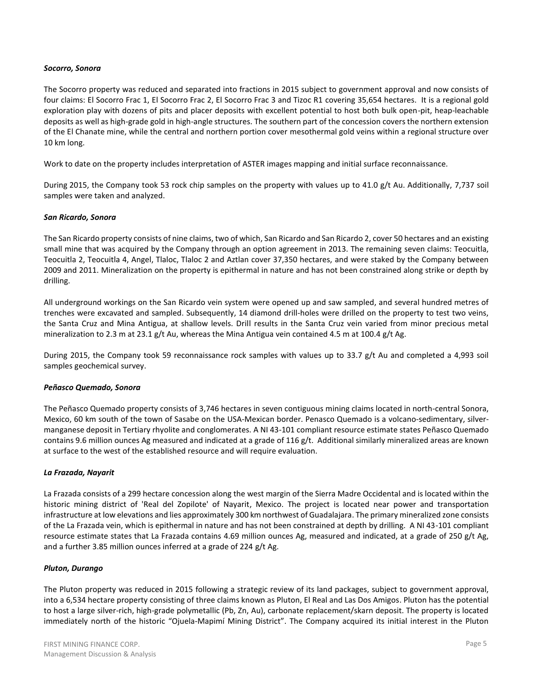### *Socorro, Sonora*

The Socorro property was reduced and separated into fractions in 2015 subject to government approval and now consists of four claims: El Socorro Frac 1, El Socorro Frac 2, El Socorro Frac 3 and Tizoc R1 covering 35,654 hectares. It is a regional gold exploration play with dozens of pits and placer deposits with excellent potential to host both bulk open-pit, heap-leachable deposits as well as high-grade gold in high-angle structures. The southern part of the concession covers the northern extension of the El Chanate mine, while the central and northern portion cover mesothermal gold veins within a regional structure over 10 km long.

Work to date on the property includes interpretation of ASTER images mapping and initial surface reconnaissance.

During 2015, the Company took 53 rock chip samples on the property with values up to 41.0 g/t Au. Additionally, 7,737 soil samples were taken and analyzed.

### *San Ricardo, Sonora*

The San Ricardo property consists of nine claims, two of which, San Ricardo and San Ricardo 2, cover 50 hectares and an existing small mine that was acquired by the Company through an option agreement in 2013. The remaining seven claims: Teocuitla, Teocuitla 2, Teocuitla 4, Angel, Tlaloc, Tlaloc 2 and Aztlan cover 37,350 hectares, and were staked by the Company between 2009 and 2011. Mineralization on the property is epithermal in nature and has not been constrained along strike or depth by drilling.

All underground workings on the San Ricardo vein system were opened up and saw sampled, and several hundred metres of trenches were excavated and sampled. Subsequently, 14 diamond drill-holes were drilled on the property to test two veins, the Santa Cruz and Mina Antigua, at shallow levels. Drill results in the Santa Cruz vein varied from minor precious metal mineralization to 2.3 m at 23.1 g/t Au, whereas the Mina Antigua vein contained 4.5 m at 100.4 g/t Ag.

During 2015, the Company took 59 reconnaissance rock samples with values up to 33.7 g/t Au and completed a 4,993 soil samples geochemical survey.

### *Peñasco Quemado, Sonora*

The Peñasco Quemado property consists of 3,746 hectares in seven contiguous mining claims located in north-central Sonora, Mexico, 60 km south of the town of Sasabe on the USA-Mexican border. Penasco Quemado is a volcano-sedimentary, silvermanganese deposit in Tertiary rhyolite and conglomerates. A NI 43-101 compliant resource estimate states Peñasco Quemado contains 9.6 million ounces Ag measured and indicated at a grade of  $116 g/t$ . Additional similarly mineralized areas are known at surface to the west of the established resource and will require evaluation.

### *La Frazada, Nayarit*

La Frazada consists of a 299 hectare concession along the west margin of the Sierra Madre Occidental and is located within the historic mining district of 'Real del Zopilote' of Nayarit, Mexico. The project is located near power and transportation infrastructure at low elevations and lies approximately 300 km northwest of Guadalajara. The primary mineralized zone consists of the La Frazada vein, which is epithermal in nature and has not been constrained at depth by drilling. A NI 43-101 compliant resource estimate states that La Frazada contains 4.69 million ounces Ag, measured and indicated, at a grade of 250 g/t Ag, and a further 3.85 million ounces inferred at a grade of 224 g/t Ag.

### *Pluton, Durango*

The Pluton property was reduced in 2015 following a strategic review of its land packages, subject to government approval, into a 6,534 hectare property consisting of three claims known as Pluton, El Real and Las Dos Amigos. Pluton has the potential to host a large silver-rich, high-grade polymetallic (Pb, Zn, Au), carbonate replacement/skarn deposit. The property is located immediately north of the historic "Ojuela-Mapimí Mining District". The Company acquired its initial interest in the Pluton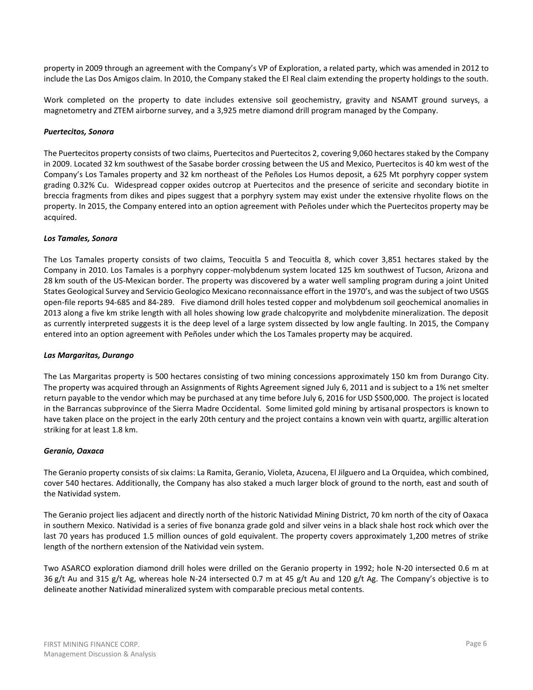property in 2009 through an agreement with the Company's VP of Exploration, a related party, which was amended in 2012 to include the Las Dos Amigos claim. In 2010, the Company staked the El Real claim extending the property holdings to the south.

Work completed on the property to date includes extensive soil geochemistry, gravity and NSAMT ground surveys, a magnetometry and ZTEM airborne survey, and a 3,925 metre diamond drill program managed by the Company.

# *Puertecitos, Sonora*

The Puertecitos property consists of two claims, Puertecitos and Puertecitos 2, covering 9,060 hectares staked by the Company in 2009. Located 32 km southwest of the Sasabe border crossing between the US and Mexico, Puertecitos is 40 km west of the Company's Los Tamales property and 32 km northeast of the Peñoles Los Humos deposit, a 625 Mt porphyry copper system grading 0.32% Cu. Widespread copper oxides outcrop at Puertecitos and the presence of sericite and secondary biotite in breccia fragments from dikes and pipes suggest that a porphyry system may exist under the extensive rhyolite flows on the property. In 2015, the Company entered into an option agreement with Peñoles under which the Puertecitos property may be acquired.

### *Los Tamales, Sonora*

The Los Tamales property consists of two claims, Teocuitla 5 and Teocuitla 8, which cover 3,851 hectares staked by the Company in 2010. Los Tamales is a porphyry copper-molybdenum system located 125 km southwest of Tucson, Arizona and 28 km south of the US-Mexican border. The property was discovered by a water well sampling program during a joint United States Geological Survey and Servicio Geologico Mexicano reconnaissance effort in the 1970's, and was the subject of two USGS open-file reports 94-685 and 84-289. Five diamond drill holes tested copper and molybdenum soil geochemical anomalies in 2013 along a five km strike length with all holes showing low grade chalcopyrite and molybdenite mineralization. The deposit as currently interpreted suggests it is the deep level of a large system dissected by low angle faulting. In 2015, the Company entered into an option agreement with Peñoles under which the Los Tamales property may be acquired.

### *Las Margaritas, Durango*

The Las Margaritas property is 500 hectares consisting of two mining concessions approximately 150 km from Durango City. The property was acquired through an Assignments of Rights Agreement signed July 6, 2011 and is subject to a 1% net smelter return payable to the vendor which may be purchased at any time before July 6, 2016 for USD \$500,000. The project is located in the Barrancas subprovince of the Sierra Madre Occidental. Some limited gold mining by artisanal prospectors is known to have taken place on the project in the early 20th century and the project contains a known vein with quartz, argillic alteration striking for at least 1.8 km.

# *Geranio, Oaxaca*

The Geranio property consists of six claims: La Ramita, Geranio, Violeta, Azucena, El Jilguero and La Orquidea, which combined, cover 540 hectares. Additionally, the Company has also staked a much larger block of ground to the north, east and south of the Natividad system.

The Geranio project lies adjacent and directly north of the historic Natividad Mining District, 70 km north of the city of Oaxaca in southern Mexico. Natividad is a series of five bonanza grade gold and silver veins in a black shale host rock which over the last 70 years has produced 1.5 million ounces of gold equivalent. The property covers approximately 1,200 metres of strike length of the northern extension of the Natividad vein system.

Two ASARCO exploration diamond drill holes were drilled on the Geranio property in 1992; hole N-20 intersected 0.6 m at 36 g/t Au and 315 g/t Ag, whereas hole N-24 intersected 0.7 m at 45 g/t Au and 120 g/t Ag. The Company's objective is to delineate another Natividad mineralized system with comparable precious metal contents.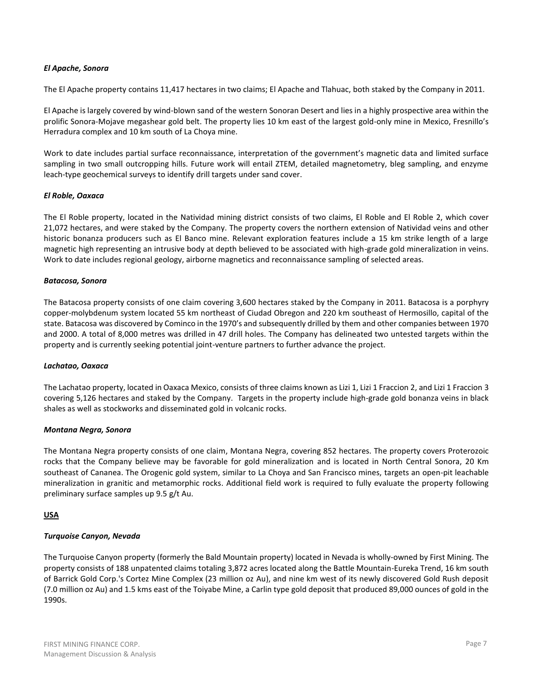# *El Apache, Sonora*

The El Apache property contains 11,417 hectares in two claims; El Apache and Tlahuac, both staked by the Company in 2011.

El Apache is largely covered by wind-blown sand of the western Sonoran Desert and lies in a highly prospective area within the prolific Sonora-Mojave megashear gold belt. The property lies 10 km east of the largest gold-only mine in Mexico, Fresnillo's Herradura complex and 10 km south of La Choya mine.

Work to date includes partial surface reconnaissance, interpretation of the government's magnetic data and limited surface sampling in two small outcropping hills. Future work will entail ZTEM, detailed magnetometry, bleg sampling, and enzyme leach-type geochemical surveys to identify drill targets under sand cover.

### *El Roble, Oaxaca*

The El Roble property, located in the Natividad mining district consists of two claims, El Roble and El Roble 2, which cover 21,072 hectares, and were staked by the Company. The property covers the northern extension of Natividad veins and other historic bonanza producers such as El Banco mine. Relevant exploration features include a 15 km strike length of a large magnetic high representing an intrusive body at depth believed to be associated with high-grade gold mineralization in veins. Work to date includes regional geology, airborne magnetics and reconnaissance sampling of selected areas.

### *Batacosa, Sonora*

The Batacosa property consists of one claim covering 3,600 hectares staked by the Company in 2011. Batacosa is a porphyry copper-molybdenum system located 55 km northeast of Ciudad Obregon and 220 km southeast of Hermosillo, capital of the state. Batacosa was discovered by Cominco in the 1970's and subsequently drilled by them and other companies between 1970 and 2000. A total of 8,000 metres was drilled in 47 drill holes. The Company has delineated two untested targets within the property and is currently seeking potential joint-venture partners to further advance the project.

### *Lachatao, Oaxaca*

The Lachatao property, located in Oaxaca Mexico, consists of three claims known as Lizi 1, Lizi 1 Fraccion 2, and Lizi 1 Fraccion 3 covering 5,126 hectares and staked by the Company. Targets in the property include high-grade gold bonanza veins in black shales as well as stockworks and disseminated gold in volcanic rocks.

### *Montana Negra, Sonora*

The Montana Negra property consists of one claim, Montana Negra, covering 852 hectares. The property covers Proterozoic rocks that the Company believe may be favorable for gold mineralization and is located in North Central Sonora, 20 Km southeast of Cananea. The Orogenic gold system, similar to La Choya and San Francisco mines, targets an open-pit leachable mineralization in granitic and metamorphic rocks. Additional field work is required to fully evaluate the property following preliminary surface samples up 9.5 g/t Au.

# **USA**

# *Turquoise Canyon, Nevada*

The Turquoise Canyon property (formerly the Bald Mountain property) located in Nevada is wholly-owned by First Mining. The property consists of 188 unpatented claims totaling 3,872 acres located along the Battle Mountain-Eureka Trend, 16 km south of Barrick Gold Corp.'s Cortez Mine Complex (23 million oz Au), and nine km west of its newly discovered Gold Rush deposit (7.0 million oz Au) and 1.5 kms east of the Toiyabe Mine, a Carlin type gold deposit that produced 89,000 ounces of gold in the 1990s.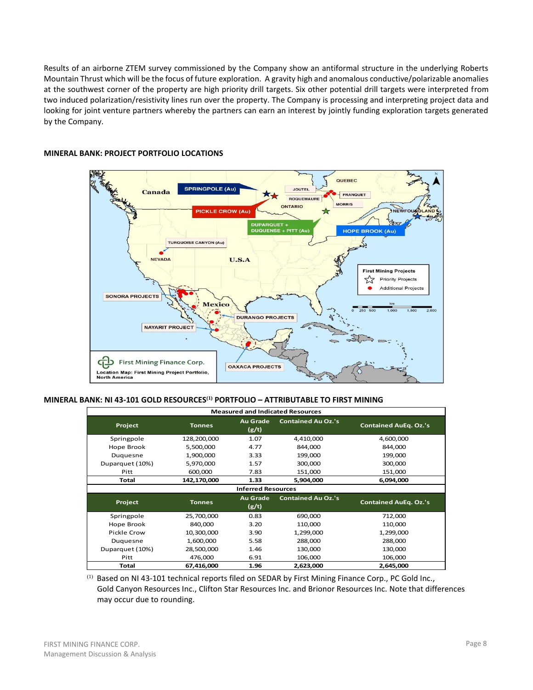Results of an airborne ZTEM survey commissioned by the Company show an antiformal structure in the underlying Roberts Mountain Thrust which will be the focus of future exploration. A gravity high and anomalous conductive/polarizable anomalies at the southwest corner of the property are high priority drill targets. Six other potential drill targets were interpreted from two induced polarization/resistivity lines run over the property. The Company is processing and interpreting project data and looking for joint venture partners whereby the partners can earn an interest by jointly funding exploration targets generated by the Company.



# **MINERAL BANK: PROJECT PORTFOLIO LOCATIONS**

#### **MINERAL BANK: NI 43-101 GOLD RESOURCES(1) PORTFOLIO – ATTRIBUTABLE TO FIRST MINING**

| <b>Measured and Indicated Resources</b>                                                                                  |               |                           |                           |                              |  |  |  |  |  |  |
|--------------------------------------------------------------------------------------------------------------------------|---------------|---------------------------|---------------------------|------------------------------|--|--|--|--|--|--|
| <b>Project</b>                                                                                                           | <b>Tonnes</b> | <b>Au Grade</b><br>(g/t)  | <b>Contained Au Oz.'s</b> | <b>Contained AuEq. Oz.'s</b> |  |  |  |  |  |  |
| Springpole                                                                                                               | 128,200,000   | 1.07                      | 4,410,000                 | 4,600,000                    |  |  |  |  |  |  |
| Hope Brook                                                                                                               | 5,500,000     | 4.77                      | 844,000                   | 844,000                      |  |  |  |  |  |  |
| Duquesne                                                                                                                 | 1,900,000     | 3.33                      | 199,000                   | 199,000                      |  |  |  |  |  |  |
| Duparquet (10%)                                                                                                          | 5,970,000     | 1.57                      | 300,000                   | 300,000                      |  |  |  |  |  |  |
| Pitt                                                                                                                     | 600,000       | 7.83                      | 151,000                   | 151,000                      |  |  |  |  |  |  |
| Total                                                                                                                    | 142,170,000   | 1.33                      | 5,904,000                 | 6,094,000                    |  |  |  |  |  |  |
|                                                                                                                          |               | <b>Inferred Resources</b> |                           |                              |  |  |  |  |  |  |
| <b>Contained Au Oz.'s</b><br><b>Au Grade</b><br><b>Contained AuEq. Oz.'s</b><br><b>Project</b><br><b>Tonnes</b><br>(g/t) |               |                           |                           |                              |  |  |  |  |  |  |
| Springpole                                                                                                               | 25,700,000    | 0.83                      | 690,000                   | 712,000                      |  |  |  |  |  |  |
| Hope Brook                                                                                                               | 840,000       | 3.20                      | 110,000                   | 110,000                      |  |  |  |  |  |  |
| Pickle Crow                                                                                                              | 10,300,000    | 3.90                      | 1,299,000                 | 1,299,000                    |  |  |  |  |  |  |
| Duguesne                                                                                                                 | 1,600,000     | 5.58                      | 288,000                   | 288,000                      |  |  |  |  |  |  |
| Duparquet (10%)                                                                                                          | 28,500,000    | 1.46                      | 130,000                   | 130,000                      |  |  |  |  |  |  |
| Pitt                                                                                                                     | 476,000       | 6.91                      | 106,000                   | 106,000                      |  |  |  |  |  |  |
| Total                                                                                                                    |               |                           |                           | 2,645,000                    |  |  |  |  |  |  |

<sup>(1)</sup> Based on NI 43-101 technical reports filed on SEDAR by First Mining Finance Corp., PC Gold Inc., Gold Canyon Resources Inc., Clifton Star Resources Inc. and Brionor Resources Inc. Note that differences may occur due to rounding.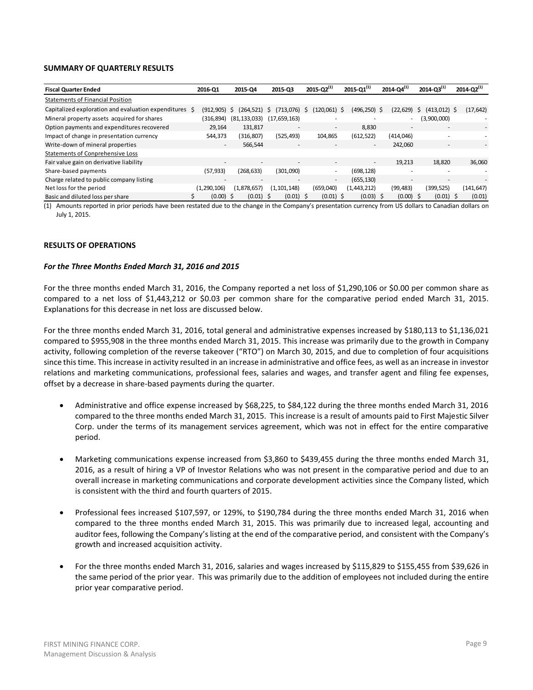### **SUMMARY OF QUARTERLY RESULTS**

| <b>Fiscal Quarter Ended</b>                            | 2016-Q1                  | 2015-Q4                  | 2015-03                  | $2015 - Q2^{(1)}$ |                          | $2015 - 01^{(1)}$        | $2014 - Q4^{(1)}$        | $2014 - Q3^{(1)}$                                    | $2014 - Q2^{(1)}$ |
|--------------------------------------------------------|--------------------------|--------------------------|--------------------------|-------------------|--------------------------|--------------------------|--------------------------|------------------------------------------------------|-------------------|
| <b>Statements of Financial Position</b>                |                          |                          |                          |                   |                          |                          |                          |                                                      |                   |
| Capitalized exploration and evaluation expenditures \$ | (912,905)                | (264, 521)<br>S          | (713,076)<br>S           | (120,061) \$<br>S |                          | (496,250) \$             | (22,629)                 | $(413,012)$ \$<br>S.                                 | (17, 642)         |
| Mineral property assets acquired for shares            | (316,894)                | (81, 133, 033)           | (17,659,163)             |                   |                          | ۰                        |                          | (3,900,000)<br>$\overline{\phantom{a}}$              |                   |
| Option payments and expenditures recovered             | 29.164                   | 131.817                  | $\overline{\phantom{a}}$ |                   | $\overline{\phantom{a}}$ | 8.830                    | $\overline{\phantom{a}}$ |                                                      |                   |
| Impact of change in presentation currency              | 544,373                  | (316, 807)               | (525, 493)               | 104,865           |                          | (612, 522)               | (414, 046)               |                                                      |                   |
| Write-down of mineral properties                       | $\overline{\phantom{a}}$ | 566,544                  | $\overline{\phantom{a}}$ |                   |                          | $\overline{\phantom{0}}$ | 242.060                  |                                                      |                   |
| <b>Statements of Conprehensive Loss</b>                |                          |                          |                          |                   |                          |                          |                          |                                                      |                   |
| Fair value gain on derivative liability                | $\overline{\phantom{a}}$ | $\overline{\phantom{a}}$ | $\overline{\phantom{a}}$ |                   | $\overline{\phantom{a}}$ | $\sim$                   | 19.213                   | 18.820                                               | 36,060            |
| Share-based payments                                   | (57, 933)                | (268,633)                | (301,090)                |                   | ۰                        | (698, 128)               |                          |                                                      |                   |
| Charge related to public company listing               | $\overline{\phantom{a}}$ | $\overline{\phantom{a}}$ |                          |                   | $\sim$                   | (655, 130)               |                          | $\overline{\phantom{a}}$<br>$\overline{\phantom{a}}$ |                   |
| Net loss for the period                                | (1.290.106)              | (1.878.657)              | (1, 101, 148)            | (659,040)         |                          | (1,443,212)              | (99, 483)                | (399, 525)                                           | (141, 647)        |
| Basic and diluted loss per share                       | $(0.00)$ \$              | $(0.01)$ \$              | $(0.01)$ \$              |                   | $(0.01)$ \$              | $(0.03)$ \$              | $(0.00)$ \$              | $(0.01)$ \$                                          | (0.01)            |

(1) Amounts reported in prior periods have been restated due to the change in the Company's presentation currency from US dollars to Canadian dollars on July 1, 2015.

### **RESULTS OF OPERATIONS**

### *For the Three Months Ended March 31, 2016 and 2015*

For the three months ended March 31, 2016, the Company reported a net loss of \$1,290,106 or \$0.00 per common share as compared to a net loss of \$1,443,212 or \$0.03 per common share for the comparative period ended March 31, 2015. Explanations for this decrease in net loss are discussed below.

For the three months ended March 31, 2016, total general and administrative expenses increased by \$180,113 to \$1,136,021 compared to \$955,908 in the three months ended March 31, 2015. This increase was primarily due to the growth in Company activity, following completion of the reverse takeover ("RTO") on March 30, 2015, and due to completion of four acquisitions since this time. Thisincrease in activity resulted in an increase in administrative and office fees, as well as an increase in investor relations and marketing communications, professional fees, salaries and wages, and transfer agent and filing fee expenses, offset by a decrease in share-based payments during the quarter.

- Administrative and office expense increased by \$68,225, to \$84,122 during the three months ended March 31, 2016 compared to the three months ended March 31, 2015. This increase is a result of amounts paid to First Majestic Silver Corp. under the terms of its management services agreement, which was not in effect for the entire comparative period.
- Marketing communications expense increased from \$3,860 to \$439,455 during the three months ended March 31, 2016, as a result of hiring a VP of Investor Relations who was not present in the comparative period and due to an overall increase in marketing communications and corporate development activities since the Company listed, which is consistent with the third and fourth quarters of 2015.
- Professional fees increased \$107,597, or 129%, to \$190,784 during the three months ended March 31, 2016 when compared to the three months ended March 31, 2015. This was primarily due to increased legal, accounting and auditor fees, following the Company's listing at the end of the comparative period, and consistent with the Company's growth and increased acquisition activity.
- For the three months ended March 31, 2016, salaries and wages increased by \$115,829 to \$155,455 from \$39,626 in the same period of the prior year. This was primarily due to the addition of employees not included during the entire prior year comparative period.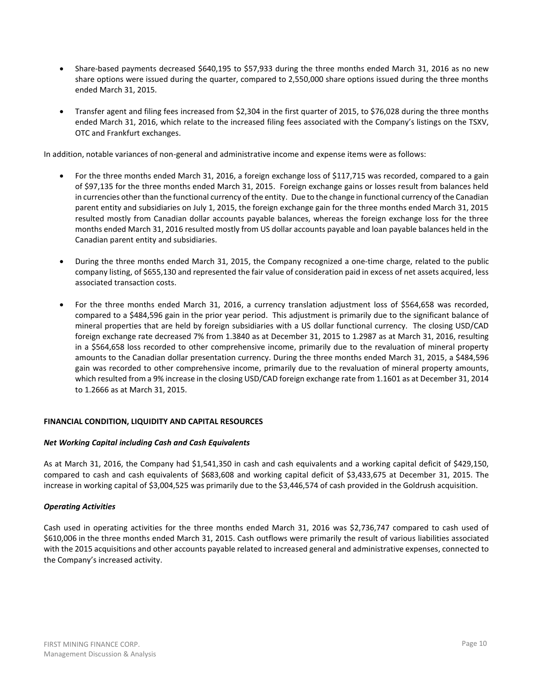- Share-based payments decreased \$640,195 to \$57,933 during the three months ended March 31, 2016 as no new share options were issued during the quarter, compared to 2,550,000 share options issued during the three months ended March 31, 2015.
- Transfer agent and filing fees increased from \$2,304 in the first quarter of 2015, to \$76,028 during the three months ended March 31, 2016, which relate to the increased filing fees associated with the Company's listings on the TSXV, OTC and Frankfurt exchanges.

In addition, notable variances of non-general and administrative income and expense items were as follows:

- For the three months ended March 31, 2016, a foreign exchange loss of \$117,715 was recorded, compared to a gain of \$97,135 for the three months ended March 31, 2015. Foreign exchange gains or losses result from balances held in currencies other than the functional currency of the entity. Due to the change in functional currency of the Canadian parent entity and subsidiaries on July 1, 2015, the foreign exchange gain for the three months ended March 31, 2015 resulted mostly from Canadian dollar accounts payable balances, whereas the foreign exchange loss for the three months ended March 31, 2016 resulted mostly from US dollar accounts payable and loan payable balances held in the Canadian parent entity and subsidiaries.
- During the three months ended March 31, 2015, the Company recognized a one-time charge, related to the public company listing, of \$655,130 and represented the fair value of consideration paid in excess of net assets acquired, less associated transaction costs.
- For the three months ended March 31, 2016, a currency translation adjustment loss of \$564,658 was recorded, compared to a \$484,596 gain in the prior year period. This adjustment is primarily due to the significant balance of mineral properties that are held by foreign subsidiaries with a US dollar functional currency. The closing USD/CAD foreign exchange rate decreased 7% from 1.3840 as at December 31, 2015 to 1.2987 as at March 31, 2016, resulting in a \$564,658 loss recorded to other comprehensive income, primarily due to the revaluation of mineral property amounts to the Canadian dollar presentation currency. During the three months ended March 31, 2015, a \$484,596 gain was recorded to other comprehensive income, primarily due to the revaluation of mineral property amounts, which resulted from a 9% increase in the closing USD/CAD foreign exchange rate from 1.1601 as at December 31, 2014 to 1.2666 as at March 31, 2015.

# **FINANCIAL CONDITION, LIQUIDITY AND CAPITAL RESOURCES**

# *Net Working Capital including Cash and Cash Equivalents*

As at March 31, 2016, the Company had \$1,541,350 in cash and cash equivalents and a working capital deficit of \$429,150, compared to cash and cash equivalents of \$683,608 and working capital deficit of \$3,433,675 at December 31, 2015. The increase in working capital of \$3,004,525 was primarily due to the \$3,446,574 of cash provided in the Goldrush acquisition.

# *Operating Activities*

Cash used in operating activities for the three months ended March 31, 2016 was \$2,736,747 compared to cash used of \$610,006 in the three months ended March 31, 2015. Cash outflows were primarily the result of various liabilities associated with the 2015 acquisitions and other accounts payable related to increased general and administrative expenses, connected to the Company's increased activity.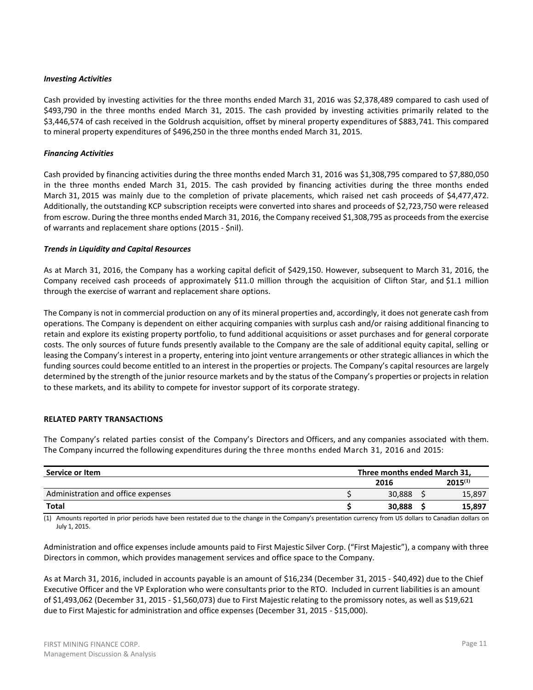### *Investing Activities*

Cash provided by investing activities for the three months ended March 31, 2016 was \$2,378,489 compared to cash used of \$493,790 in the three months ended March 31, 2015. The cash provided by investing activities primarily related to the \$3,446,574 of cash received in the Goldrush acquisition, offset by mineral property expenditures of \$883,741. This compared to mineral property expenditures of \$496,250 in the three months ended March 31, 2015.

# *Financing Activities*

Cash provided by financing activities during the three months ended March 31, 2016 was \$1,308,795 compared to \$7,880,050 in the three months ended March 31, 2015. The cash provided by financing activities during the three months ended March 31, 2015 was mainly due to the completion of private placements, which raised net cash proceeds of \$4,477,472. Additionally, the outstanding KCP subscription receipts were converted into shares and proceeds of \$2,723,750 were released from escrow. During the three months ended March 31, 2016, the Company received \$1,308,795 as proceeds from the exercise of warrants and replacement share options (2015 - \$nil).

### *Trends in Liquidity and Capital Resources*

As at March 31, 2016, the Company has a working capital deficit of \$429,150. However, subsequent to March 31, 2016, the Company received cash proceeds of approximately \$11.0 million through the acquisition of Clifton Star, and \$1.1 million through the exercise of warrant and replacement share options.

The Company is not in commercial production on any of its mineral properties and, accordingly, it does not generate cash from operations. The Company is dependent on either acquiring companies with surplus cash and/or raising additional financing to retain and explore its existing property portfolio, to fund additional acquisitions or asset purchases and for general corporate costs. The only sources of future funds presently available to the Company are the sale of additional equity capital, selling or leasing the Company's interest in a property, entering into joint venture arrangements or other strategic alliances in which the funding sources could become entitled to an interest in the properties or projects. The Company's capital resources are largely determined by the strength of the junior resource markets and by the status of the Company's properties or projects in relation to these markets, and its ability to compete for investor support of its corporate strategy.

# **RELATED PARTY TRANSACTIONS**

The Company's related parties consist of the Company's Directors and Officers, and any companies associated with them. The Company incurred the following expenditures during the three months ended March 31, 2016 and 2015:

| Service or Item                    | Three months ended March 31, |  |              |  |  |  |
|------------------------------------|------------------------------|--|--------------|--|--|--|
|                                    | 2016                         |  | $2015^{(1)}$ |  |  |  |
| Administration and office expenses | 30.888                       |  | 15,897       |  |  |  |
| <b>Total</b>                       | 30,888                       |  | 15.897       |  |  |  |

(1) Amounts reported in prior periods have been restated due to the change in the Company's presentation currency from US dollars to Canadian dollars on July 1, 2015.

Administration and office expenses include amounts paid to First Majestic Silver Corp. ("First Majestic"), a company with three Directors in common, which provides management services and office space to the Company.

As at March 31, 2016, included in accounts payable is an amount of \$16,234 (December 31, 2015 - \$40,492) due to the Chief Executive Officer and the VP Exploration who were consultants prior to the RTO. Included in current liabilities is an amount of \$1,493,062 (December 31, 2015 - \$1,560,073) due to First Majestic relating to the promissory notes, as well as \$19,621 due to First Majestic for administration and office expenses (December 31, 2015 - \$15,000).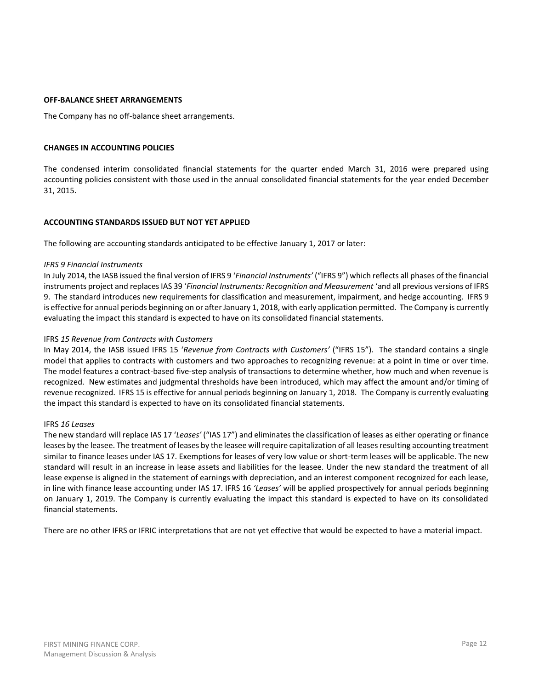### **OFF-BALANCE SHEET ARRANGEMENTS**

The Company has no off-balance sheet arrangements.

### **CHANGES IN ACCOUNTING POLICIES**

The condensed interim consolidated financial statements for the quarter ended March 31, 2016 were prepared using accounting policies consistent with those used in the annual consolidated financial statements for the year ended December 31, 2015.

#### **ACCOUNTING STANDARDS ISSUED BUT NOT YET APPLIED**

The following are accounting standards anticipated to be effective January 1, 2017 or later:

#### *IFRS 9 Financial Instruments*

In July 2014, the IASB issued the final version of IFRS 9 '*Financial Instruments'* ("IFRS 9") which reflects all phases of the financial instruments project and replaces IAS 39 '*Financial Instruments: Recognition and Measurement* 'and all previous versions of IFRS 9. The standard introduces new requirements for classification and measurement, impairment, and hedge accounting. IFRS 9 is effective for annual periods beginning on or after January 1, 2018, with early application permitted. The Company is currently evaluating the impact this standard is expected to have on its consolidated financial statements.

#### IFRS *15 Revenue from Contracts with Customers*

In May 2014, the IASB issued IFRS 15 '*Revenue from Contracts with Customers'* ("IFRS 15"). The standard contains a single model that applies to contracts with customers and two approaches to recognizing revenue: at a point in time or over time. The model features a contract-based five-step analysis of transactions to determine whether, how much and when revenue is recognized. New estimates and judgmental thresholds have been introduced, which may affect the amount and/or timing of revenue recognized. IFRS 15 is effective for annual periods beginning on January 1, 2018. The Company is currently evaluating the impact this standard is expected to have on its consolidated financial statements.

### IFRS *16 Leases*

The new standard will replace IAS 17 '*Leases'* ("IAS 17") and eliminates the classification of leases as either operating or finance leases by the leasee. The treatment of leases by the leasee will require capitalization of all leases resulting accounting treatment similar to finance leases under IAS 17. Exemptions for leases of very low value or short-term leases will be applicable. The new standard will result in an increase in lease assets and liabilities for the leasee. Under the new standard the treatment of all lease expense is aligned in the statement of earnings with depreciation, and an interest component recognized for each lease, in line with finance lease accounting under IAS 17. IFRS 16 *'Leases'* will be applied prospectively for annual periods beginning on January 1, 2019. The Company is currently evaluating the impact this standard is expected to have on its consolidated financial statements.

There are no other IFRS or IFRIC interpretations that are not yet effective that would be expected to have a material impact.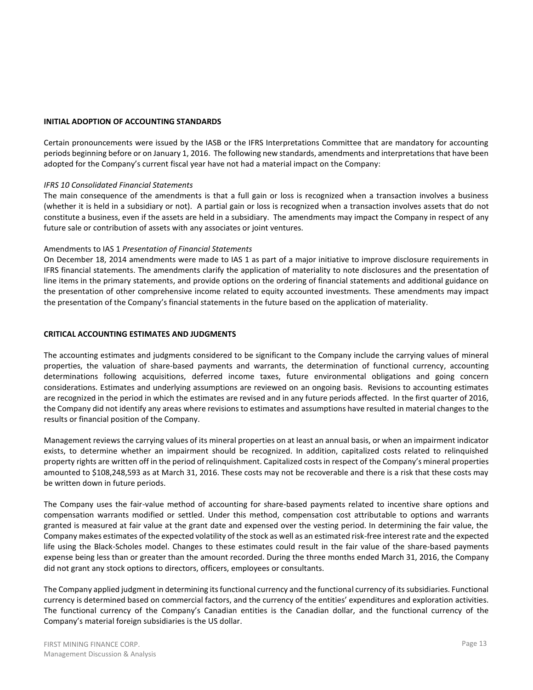### **INITIAL ADOPTION OF ACCOUNTING STANDARDS**

Certain pronouncements were issued by the IASB or the IFRS Interpretations Committee that are mandatory for accounting periods beginning before or on January 1, 2016. The following new standards, amendments and interpretations that have been adopted for the Company's current fiscal year have not had a material impact on the Company:

### *IFRS 10 Consolidated Financial Statements*

The main consequence of the amendments is that a full gain or loss is recognized when a transaction involves a business (whether it is held in a subsidiary or not). A partial gain or loss is recognized when a transaction involves assets that do not constitute a business, even if the assets are held in a subsidiary. The amendments may impact the Company in respect of any future sale or contribution of assets with any associates or joint ventures.

### Amendments to IAS 1 *Presentation of Financial Statements*

On December 18, 2014 amendments were made to IAS 1 as part of a major initiative to improve disclosure requirements in IFRS financial statements. The amendments clarify the application of materiality to note disclosures and the presentation of line items in the primary statements, and provide options on the ordering of financial statements and additional guidance on the presentation of other comprehensive income related to equity accounted investments. These amendments may impact the presentation of the Company's financial statements in the future based on the application of materiality.

### **CRITICAL ACCOUNTING ESTIMATES AND JUDGMENTS**

The accounting estimates and judgments considered to be significant to the Company include the carrying values of mineral properties, the valuation of share-based payments and warrants, the determination of functional currency, accounting determinations following acquisitions, deferred income taxes, future environmental obligations and going concern considerations. Estimates and underlying assumptions are reviewed on an ongoing basis. Revisions to accounting estimates are recognized in the period in which the estimates are revised and in any future periods affected. In the first quarter of 2016, the Company did not identify any areas where revisions to estimates and assumptions have resulted in material changes to the results or financial position of the Company.

Management reviews the carrying values of its mineral properties on at least an annual basis, or when an impairment indicator exists, to determine whether an impairment should be recognized. In addition, capitalized costs related to relinquished property rights are written off in the period of relinquishment. Capitalized costs in respect of the Company's mineral properties amounted to \$108,248,593 as at March 31, 2016. These costs may not be recoverable and there is a risk that these costs may be written down in future periods.

The Company uses the fair-value method of accounting for share-based payments related to incentive share options and compensation warrants modified or settled. Under this method, compensation cost attributable to options and warrants granted is measured at fair value at the grant date and expensed over the vesting period. In determining the fair value, the Company makes estimates of the expected volatility of the stock as well as an estimated risk-free interest rate and the expected life using the Black-Scholes model. Changes to these estimates could result in the fair value of the share-based payments expense being less than or greater than the amount recorded. During the three months ended March 31, 2016, the Company did not grant any stock options to directors, officers, employees or consultants.

The Company applied judgment in determining its functional currency and the functional currency of its subsidiaries. Functional currency is determined based on commercial factors, and the currency of the entities' expenditures and exploration activities. The functional currency of the Company's Canadian entities is the Canadian dollar, and the functional currency of the Company's material foreign subsidiaries is the US dollar.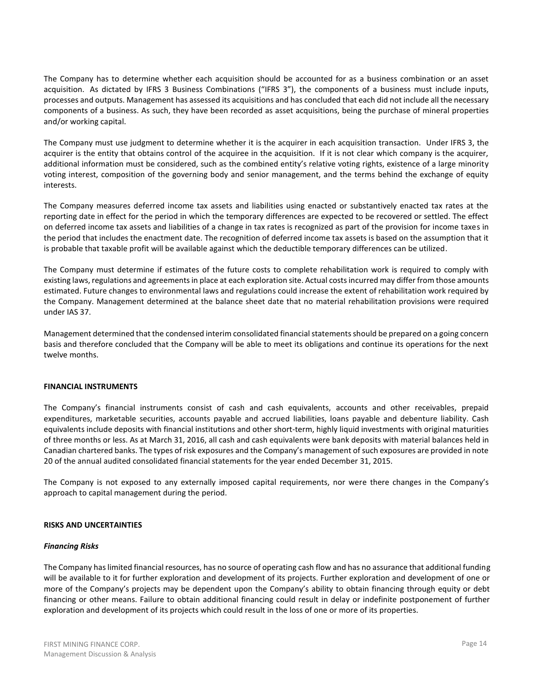The Company has to determine whether each acquisition should be accounted for as a business combination or an asset acquisition. As dictated by IFRS 3 Business Combinations ("IFRS 3"), the components of a business must include inputs, processes and outputs. Management has assessed its acquisitions and has concluded that each did not include all the necessary components of a business. As such, they have been recorded as asset acquisitions, being the purchase of mineral properties and/or working capital.

The Company must use judgment to determine whether it is the acquirer in each acquisition transaction. Under IFRS 3, the acquirer is the entity that obtains control of the acquiree in the acquisition. If it is not clear which company is the acquirer, additional information must be considered, such as the combined entity's relative voting rights, existence of a large minority voting interest, composition of the governing body and senior management, and the terms behind the exchange of equity interests.

The Company measures deferred income tax assets and liabilities using enacted or substantively enacted tax rates at the reporting date in effect for the period in which the temporary differences are expected to be recovered or settled. The effect on deferred income tax assets and liabilities of a change in tax rates is recognized as part of the provision for income taxes in the period that includes the enactment date. The recognition of deferred income tax assets is based on the assumption that it is probable that taxable profit will be available against which the deductible temporary differences can be utilized.

The Company must determine if estimates of the future costs to complete rehabilitation work is required to comply with existing laws, regulations and agreements in place at each exploration site. Actual costs incurred may differ from those amounts estimated. Future changes to environmental laws and regulations could increase the extent of rehabilitation work required by the Company. Management determined at the balance sheet date that no material rehabilitation provisions were required under IAS 37.

Management determined that the condensed interim consolidated financial statements should be prepared on a going concern basis and therefore concluded that the Company will be able to meet its obligations and continue its operations for the next twelve months.

# **FINANCIAL INSTRUMENTS**

The Company's financial instruments consist of cash and cash equivalents, accounts and other receivables, prepaid expenditures, marketable securities, accounts payable and accrued liabilities, loans payable and debenture liability. Cash equivalents include deposits with financial institutions and other short-term, highly liquid investments with original maturities of three months or less. As at March 31, 2016, all cash and cash equivalents were bank deposits with material balances held in Canadian chartered banks. The types of risk exposures and the Company's management of such exposures are provided in note 20 of the annual audited consolidated financial statements for the year ended December 31, 2015.

The Company is not exposed to any externally imposed capital requirements, nor were there changes in the Company's approach to capital management during the period.

# **RISKS AND UNCERTAINTIES**

# *Financing Risks*

The Company has limited financial resources, has no source of operating cash flow and has no assurance that additional funding will be available to it for further exploration and development of its projects. Further exploration and development of one or more of the Company's projects may be dependent upon the Company's ability to obtain financing through equity or debt financing or other means. Failure to obtain additional financing could result in delay or indefinite postponement of further exploration and development of its projects which could result in the loss of one or more of its properties.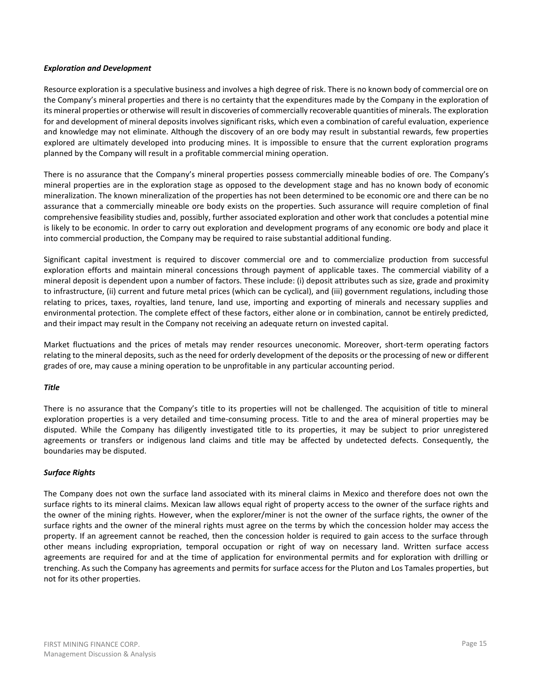### *Exploration and Development*

Resource exploration is a speculative business and involves a high degree of risk. There is no known body of commercial ore on the Company's mineral properties and there is no certainty that the expenditures made by the Company in the exploration of its mineral properties or otherwise will result in discoveries of commercially recoverable quantities of minerals. The exploration for and development of mineral deposits involves significant risks, which even a combination of careful evaluation, experience and knowledge may not eliminate. Although the discovery of an ore body may result in substantial rewards, few properties explored are ultimately developed into producing mines. It is impossible to ensure that the current exploration programs planned by the Company will result in a profitable commercial mining operation.

There is no assurance that the Company's mineral properties possess commercially mineable bodies of ore. The Company's mineral properties are in the exploration stage as opposed to the development stage and has no known body of economic mineralization. The known mineralization of the properties has not been determined to be economic ore and there can be no assurance that a commercially mineable ore body exists on the properties. Such assurance will require completion of final comprehensive feasibility studies and, possibly, further associated exploration and other work that concludes a potential mine is likely to be economic. In order to carry out exploration and development programs of any economic ore body and place it into commercial production, the Company may be required to raise substantial additional funding.

Significant capital investment is required to discover commercial ore and to commercialize production from successful exploration efforts and maintain mineral concessions through payment of applicable taxes. The commercial viability of a mineral deposit is dependent upon a number of factors. These include: (i) deposit attributes such as size, grade and proximity to infrastructure, (ii) current and future metal prices (which can be cyclical), and (iii) government regulations, including those relating to prices, taxes, royalties, land tenure, land use, importing and exporting of minerals and necessary supplies and environmental protection. The complete effect of these factors, either alone or in combination, cannot be entirely predicted, and their impact may result in the Company not receiving an adequate return on invested capital.

Market fluctuations and the prices of metals may render resources uneconomic. Moreover, short-term operating factors relating to the mineral deposits, such as the need for orderly development of the deposits or the processing of new or different grades of ore, may cause a mining operation to be unprofitable in any particular accounting period.

# *Title*

There is no assurance that the Company's title to its properties will not be challenged. The acquisition of title to mineral exploration properties is a very detailed and time-consuming process. Title to and the area of mineral properties may be disputed. While the Company has diligently investigated title to its properties, it may be subject to prior unregistered agreements or transfers or indigenous land claims and title may be affected by undetected defects. Consequently, the boundaries may be disputed.

# *Surface Rights*

The Company does not own the surface land associated with its mineral claims in Mexico and therefore does not own the surface rights to its mineral claims. Mexican law allows equal right of property access to the owner of the surface rights and the owner of the mining rights. However, when the explorer/miner is not the owner of the surface rights, the owner of the surface rights and the owner of the mineral rights must agree on the terms by which the concession holder may access the property. If an agreement cannot be reached, then the concession holder is required to gain access to the surface through other means including expropriation, temporal occupation or right of way on necessary land. Written surface access agreements are required for and at the time of application for environmental permits and for exploration with drilling or trenching. As such the Company has agreements and permits for surface access for the Pluton and Los Tamales properties, but not for its other properties.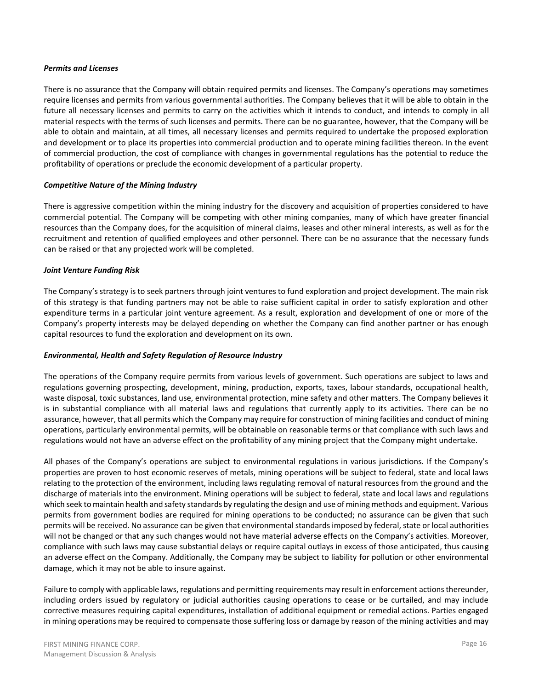### *Permits and Licenses*

There is no assurance that the Company will obtain required permits and licenses. The Company's operations may sometimes require licenses and permits from various governmental authorities. The Company believes that it will be able to obtain in the future all necessary licenses and permits to carry on the activities which it intends to conduct, and intends to comply in all material respects with the terms of such licenses and permits. There can be no guarantee, however, that the Company will be able to obtain and maintain, at all times, all necessary licenses and permits required to undertake the proposed exploration and development or to place its properties into commercial production and to operate mining facilities thereon. In the event of commercial production, the cost of compliance with changes in governmental regulations has the potential to reduce the profitability of operations or preclude the economic development of a particular property.

### *Competitive Nature of the Mining Industry*

There is aggressive competition within the mining industry for the discovery and acquisition of properties considered to have commercial potential. The Company will be competing with other mining companies, many of which have greater financial resources than the Company does, for the acquisition of mineral claims, leases and other mineral interests, as well as for the recruitment and retention of qualified employees and other personnel. There can be no assurance that the necessary funds can be raised or that any projected work will be completed.

### *Joint Venture Funding Risk*

The Company's strategy is to seek partners through joint ventures to fund exploration and project development. The main risk of this strategy is that funding partners may not be able to raise sufficient capital in order to satisfy exploration and other expenditure terms in a particular joint venture agreement. As a result, exploration and development of one or more of the Company's property interests may be delayed depending on whether the Company can find another partner or has enough capital resources to fund the exploration and development on its own.

### *Environmental, Health and Safety Regulation of Resource Industry*

The operations of the Company require permits from various levels of government. Such operations are subject to laws and regulations governing prospecting, development, mining, production, exports, taxes, labour standards, occupational health, waste disposal, toxic substances, land use, environmental protection, mine safety and other matters. The Company believes it is in substantial compliance with all material laws and regulations that currently apply to its activities. There can be no assurance, however, that all permits which the Company may require for construction of mining facilities and conduct of mining operations, particularly environmental permits, will be obtainable on reasonable terms or that compliance with such laws and regulations would not have an adverse effect on the profitability of any mining project that the Company might undertake.

All phases of the Company's operations are subject to environmental regulations in various jurisdictions. If the Company's properties are proven to host economic reserves of metals, mining operations will be subject to federal, state and local laws relating to the protection of the environment, including laws regulating removal of natural resources from the ground and the discharge of materials into the environment. Mining operations will be subject to federal, state and local laws and regulations which seek to maintain health and safety standards by regulating the design and use of mining methods and equipment. Various permits from government bodies are required for mining operations to be conducted; no assurance can be given that such permits will be received. No assurance can be given that environmental standards imposed by federal, state or local authorities will not be changed or that any such changes would not have material adverse effects on the Company's activities. Moreover, compliance with such laws may cause substantial delays or require capital outlays in excess of those anticipated, thus causing an adverse effect on the Company. Additionally, the Company may be subject to liability for pollution or other environmental damage, which it may not be able to insure against.

Failure to comply with applicable laws, regulations and permitting requirements may result in enforcement actions thereunder, including orders issued by regulatory or judicial authorities causing operations to cease or be curtailed, and may include corrective measures requiring capital expenditures, installation of additional equipment or remedial actions. Parties engaged in mining operations may be required to compensate those suffering loss or damage by reason of the mining activities and may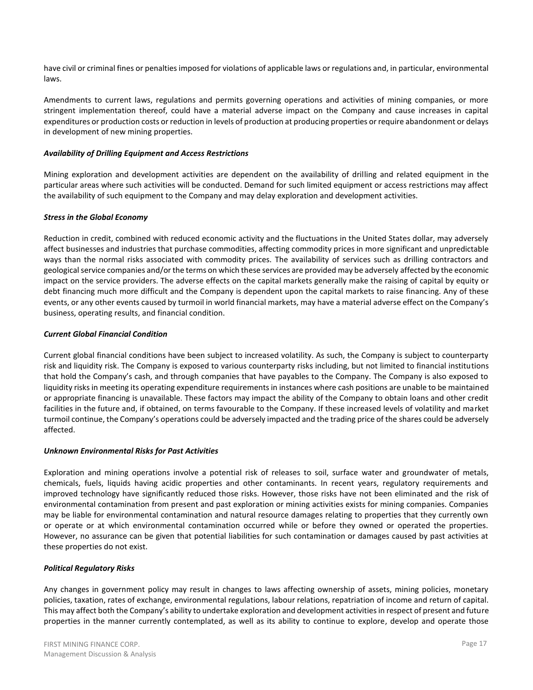have civil or criminal fines or penalties imposed for violations of applicable laws or regulations and, in particular, environmental laws.

Amendments to current laws, regulations and permits governing operations and activities of mining companies, or more stringent implementation thereof, could have a material adverse impact on the Company and cause increases in capital expenditures or production costs or reduction in levels of production at producing properties or require abandonment or delays in development of new mining properties.

# *Availability of Drilling Equipment and Access Restrictions*

Mining exploration and development activities are dependent on the availability of drilling and related equipment in the particular areas where such activities will be conducted. Demand for such limited equipment or access restrictions may affect the availability of such equipment to the Company and may delay exploration and development activities.

# *Stress in the Global Economy*

Reduction in credit, combined with reduced economic activity and the fluctuations in the United States dollar, may adversely affect businesses and industries that purchase commodities, affecting commodity prices in more significant and unpredictable ways than the normal risks associated with commodity prices. The availability of services such as drilling contractors and geological service companies and/or the terms on which these services are provided may be adversely affected by the economic impact on the service providers. The adverse effects on the capital markets generally make the raising of capital by equity or debt financing much more difficult and the Company is dependent upon the capital markets to raise financing. Any of these events, or any other events caused by turmoil in world financial markets, may have a material adverse effect on the Company's business, operating results, and financial condition.

# *Current Global Financial Condition*

Current global financial conditions have been subject to increased volatility. As such, the Company is subject to counterparty risk and liquidity risk. The Company is exposed to various counterparty risks including, but not limited to financial institutions that hold the Company's cash, and through companies that have payables to the Company. The Company is also exposed to liquidity risks in meeting its operating expenditure requirements in instances where cash positions are unable to be maintained or appropriate financing is unavailable. These factors may impact the ability of the Company to obtain loans and other credit facilities in the future and, if obtained, on terms favourable to the Company. If these increased levels of volatility and market turmoil continue, the Company's operations could be adversely impacted and the trading price of the shares could be adversely affected.

# *Unknown Environmental Risks for Past Activities*

Exploration and mining operations involve a potential risk of releases to soil, surface water and groundwater of metals, chemicals, fuels, liquids having acidic properties and other contaminants. In recent years, regulatory requirements and improved technology have significantly reduced those risks. However, those risks have not been eliminated and the risk of environmental contamination from present and past exploration or mining activities exists for mining companies. Companies may be liable for environmental contamination and natural resource damages relating to properties that they currently own or operate or at which environmental contamination occurred while or before they owned or operated the properties. However, no assurance can be given that potential liabilities for such contamination or damages caused by past activities at these properties do not exist.

# *Political Regulatory Risks*

Any changes in government policy may result in changes to laws affecting ownership of assets, mining policies, monetary policies, taxation, rates of exchange, environmental regulations, labour relations, repatriation of income and return of capital. This may affect both the Company's ability to undertake exploration and development activities in respect of present and future properties in the manner currently contemplated, as well as its ability to continue to explore, develop and operate those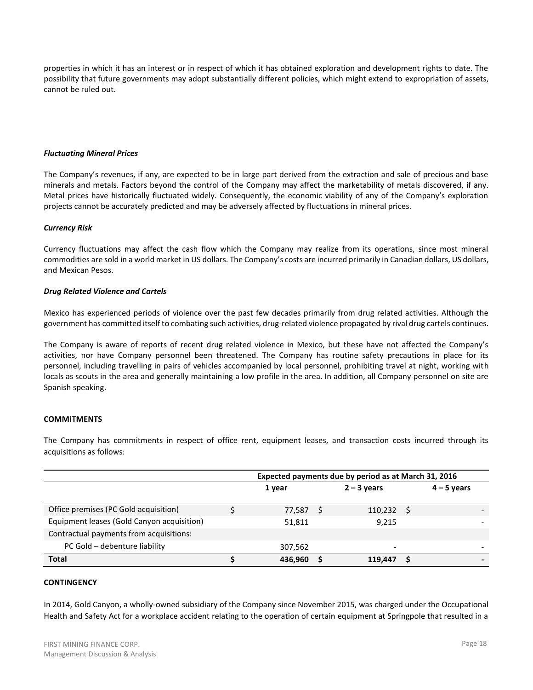properties in which it has an interest or in respect of which it has obtained exploration and development rights to date. The possibility that future governments may adopt substantially different policies, which might extend to expropriation of assets, cannot be ruled out.

# *Fluctuating Mineral Prices*

The Company's revenues, if any, are expected to be in large part derived from the extraction and sale of precious and base minerals and metals. Factors beyond the control of the Company may affect the marketability of metals discovered, if any. Metal prices have historically fluctuated widely. Consequently, the economic viability of any of the Company's exploration projects cannot be accurately predicted and may be adversely affected by fluctuations in mineral prices.

### *Currency Risk*

Currency fluctuations may affect the cash flow which the Company may realize from its operations, since most mineral commodities are sold in a world market in US dollars. The Company's costs are incurred primarily in Canadian dollars, US dollars, and Mexican Pesos.

### *Drug Related Violence and Cartels*

Mexico has experienced periods of violence over the past few decades primarily from drug related activities. Although the government has committed itself to combating such activities, drug-related violence propagated by rival drug cartels continues.

The Company is aware of reports of recent drug related violence in Mexico, but these have not affected the Company's activities, nor have Company personnel been threatened. The Company has routine safety precautions in place for its personnel, including travelling in pairs of vehicles accompanied by local personnel, prohibiting travel at night, working with locals as scouts in the area and generally maintaining a low profile in the area. In addition, all Company personnel on site are Spanish speaking.

# **COMMITMENTS**

The Company has commitments in respect of office rent, equipment leases, and transaction costs incurred through its acquisitions as follows:

|                                            | Expected payments due by period as at March 31, 2016 |  |               |               |   |
|--------------------------------------------|------------------------------------------------------|--|---------------|---------------|---|
|                                            | 1 year                                               |  | $2 - 3$ years | $4 - 5$ years |   |
| Office premises (PC Gold acquisition)      | 77,587                                               |  | 110,232       |               |   |
| Equipment leases (Gold Canyon acquisition) | 51,811                                               |  | 9.215         |               |   |
| Contractual payments from acquisitions:    |                                                      |  |               |               |   |
| PC Gold - debenture liability              | 307,562                                              |  | ۰             |               | - |
| <b>Total</b>                               | 436.960                                              |  | 119.447       |               |   |

# **CONTINGENCY**

In 2014, Gold Canyon, a wholly-owned subsidiary of the Company since November 2015, was charged under the Occupational Health and Safety Act for a workplace accident relating to the operation of certain equipment at Springpole that resulted in a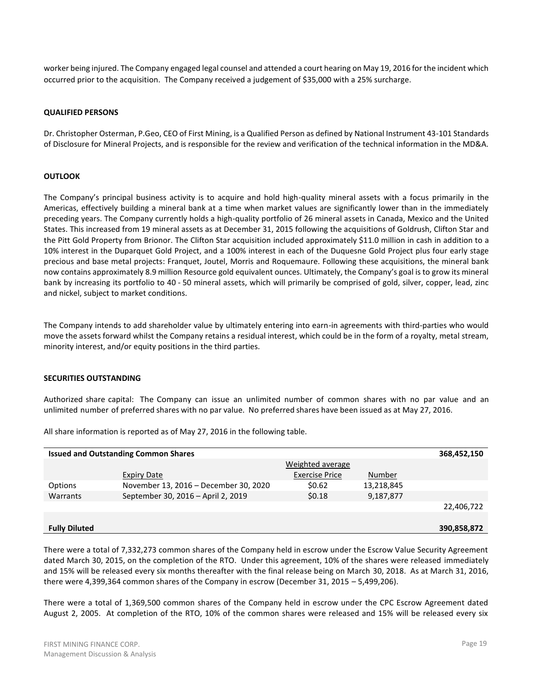worker being injured. The Company engaged legal counsel and attended a court hearing on May 19, 2016 for the incident which occurred prior to the acquisition. The Company received a judgement of \$35,000 with a 25% surcharge.

### **QUALIFIED PERSONS**

Dr. Christopher Osterman, P.Geo, CEO of First Mining, is a Qualified Person as defined by National Instrument 43-101 Standards of Disclosure for Mineral Projects, and is responsible for the review and verification of the technical information in the MD&A.

### **OUTLOOK**

The Company's principal business activity is to acquire and hold high-quality mineral assets with a focus primarily in the Americas, effectively building a mineral bank at a time when market values are significantly lower than in the immediately preceding years. The Company currently holds a high-quality portfolio of 26 mineral assets in Canada, Mexico and the United States. This increased from 19 mineral assets as at December 31, 2015 following the acquisitions of Goldrush, Clifton Star and the Pitt Gold Property from Brionor. The Clifton Star acquisition included approximately \$11.0 million in cash in addition to a 10% interest in the Duparquet Gold Project, and a 100% interest in each of the Duquesne Gold Project plus four early stage precious and base metal projects: Franquet, Joutel, Morris and Roquemaure. Following these acquisitions, the mineral bank now contains approximately 8.9 million Resource gold equivalent ounces. Ultimately, the Company's goal is to grow its mineral bank by increasing its portfolio to 40 - 50 mineral assets, which will primarily be comprised of gold, silver, copper, lead, zinc and nickel, subject to market conditions.

The Company intends to add shareholder value by ultimately entering into earn-in agreements with third-parties who would move the assets forward whilst the Company retains a residual interest, which could be in the form of a royalty, metal stream, minority interest, and/or equity positions in the third parties.

### **SECURITIES OUTSTANDING**

Authorized share capital: The Company can issue an unlimited number of common shares with no par value and an unlimited number of preferred shares with no par value. No preferred shares have been issued as at May 27, 2016.

All share information is reported as of May 27, 2016 in the following table.

| <b>Issued and Outstanding Common Shares</b> |                                       |                         |            |             |  |  |  |  |  |  |  |
|---------------------------------------------|---------------------------------------|-------------------------|------------|-------------|--|--|--|--|--|--|--|
|                                             |                                       | <b>Weighted average</b> |            |             |  |  |  |  |  |  |  |
|                                             | <b>Expiry Date</b>                    | <b>Exercise Price</b>   | Number     |             |  |  |  |  |  |  |  |
| Options                                     | November 13, 2016 - December 30, 2020 | \$0.62                  | 13,218,845 |             |  |  |  |  |  |  |  |
| Warrants                                    | September 30, 2016 - April 2, 2019    | \$0.18                  | 9,187,877  |             |  |  |  |  |  |  |  |
|                                             |                                       |                         |            | 22,406,722  |  |  |  |  |  |  |  |
|                                             |                                       |                         |            |             |  |  |  |  |  |  |  |
| <b>Fully Diluted</b>                        |                                       |                         |            | 390,858,872 |  |  |  |  |  |  |  |
|                                             |                                       |                         |            |             |  |  |  |  |  |  |  |

There were a total of 7,332,273 common shares of the Company held in escrow under the Escrow Value Security Agreement dated March 30, 2015, on the completion of the RTO. Under this agreement, 10% of the shares were released immediately and 15% will be released every six months thereafter with the final release being on March 30, 2018. As at March 31, 2016, there were 4,399,364 common shares of the Company in escrow (December 31, 2015 – 5,499,206).

There were a total of 1,369,500 common shares of the Company held in escrow under the CPC Escrow Agreement dated August 2, 2005. At completion of the RTO, 10% of the common shares were released and 15% will be released every six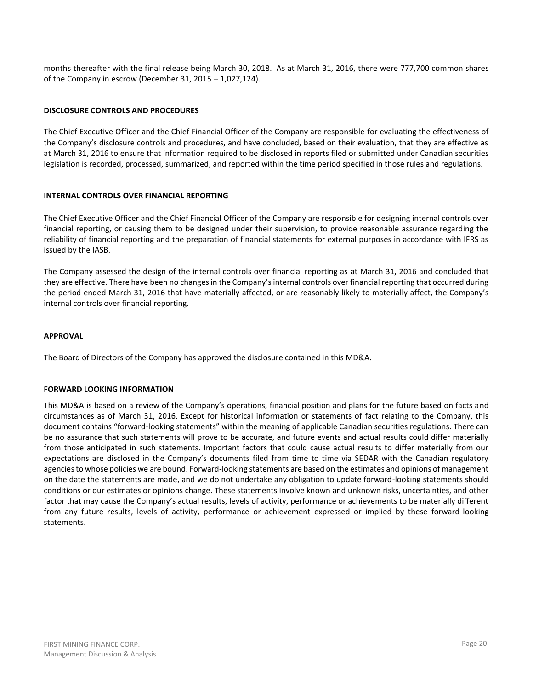months thereafter with the final release being March 30, 2018. As at March 31, 2016, there were 777,700 common shares of the Company in escrow (December 31, 2015 – 1,027,124).

# **DISCLOSURE CONTROLS AND PROCEDURES**

The Chief Executive Officer and the Chief Financial Officer of the Company are responsible for evaluating the effectiveness of the Company's disclosure controls and procedures, and have concluded, based on their evaluation, that they are effective as at March 31, 2016 to ensure that information required to be disclosed in reports filed or submitted under Canadian securities legislation is recorded, processed, summarized, and reported within the time period specified in those rules and regulations.

### **INTERNAL CONTROLS OVER FINANCIAL REPORTING**

The Chief Executive Officer and the Chief Financial Officer of the Company are responsible for designing internal controls over financial reporting, or causing them to be designed under their supervision, to provide reasonable assurance regarding the reliability of financial reporting and the preparation of financial statements for external purposes in accordance with IFRS as issued by the IASB.

The Company assessed the design of the internal controls over financial reporting as at March 31, 2016 and concluded that they are effective. There have been no changes in the Company's internal controls over financial reporting that occurred during the period ended March 31, 2016 that have materially affected, or are reasonably likely to materially affect, the Company's internal controls over financial reporting.

### **APPROVAL**

The Board of Directors of the Company has approved the disclosure contained in this MD&A.

### **FORWARD LOOKING INFORMATION**

This MD&A is based on a review of the Company's operations, financial position and plans for the future based on facts and circumstances as of March 31, 2016. Except for historical information or statements of fact relating to the Company, this document contains "forward-looking statements" within the meaning of applicable Canadian securities regulations. There can be no assurance that such statements will prove to be accurate, and future events and actual results could differ materially from those anticipated in such statements. Important factors that could cause actual results to differ materially from our expectations are disclosed in the Company's documents filed from time to time via SEDAR with the Canadian regulatory agencies to whose policies we are bound. Forward-looking statements are based on the estimates and opinions of management on the date the statements are made, and we do not undertake any obligation to update forward-looking statements should conditions or our estimates or opinions change. These statements involve known and unknown risks, uncertainties, and other factor that may cause the Company's actual results, levels of activity, performance or achievements to be materially different from any future results, levels of activity, performance or achievement expressed or implied by these forward-looking statements.